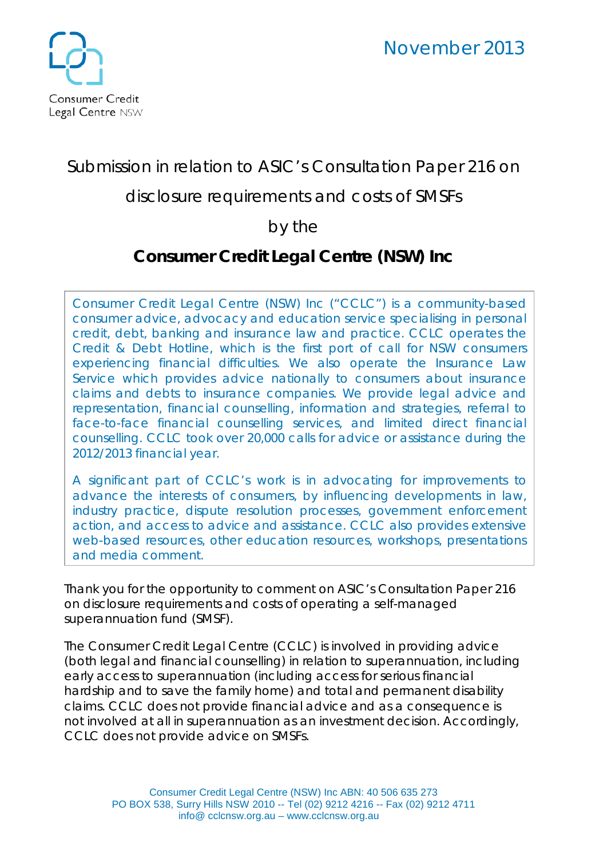

## Submission in relation to ASIC's Consultation Paper 216 on

### disclosure requirements and costs of SMSFs

## by the

# **Consumer Credit Legal Centre (NSW) Inc**

Consumer Credit Legal Centre (NSW) Inc ("CCLC") is a community-based consumer advice, advocacy and education service specialising in personal credit, debt, banking and insurance law and practice. CCLC operates the Credit & Debt Hotline, which is the first port of call for NSW consumers experiencing financial difficulties. We also operate the Insurance Law Service which provides advice nationally to consumers about insurance claims and debts to insurance companies. We provide legal advice and representation, financial counselling, information and strategies, referral to face-to-face financial counselling services, and limited direct financial counselling. CCLC took over 20,000 calls for advice or assistance during the 2012/2013 financial year.

A significant part of CCLC's work is in advocating for improvements to advance the interests of consumers, by influencing developments in law, industry practice, dispute resolution processes, government enforcement action, and access to advice and assistance. CCLC also provides extensive web-based resources, other education resources, workshops, presentations and media comment.

Thank you for the opportunity to comment on ASIC's Consultation Paper 216 on disclosure requirements and costs of operating a self-managed superannuation fund (SMSF).

The Consumer Credit Legal Centre (CCLC) is involved in providing advice (both legal and financial counselling) in relation to superannuation, including early access to superannuation (including access for serious financial hardship and to save the family home) and total and permanent disability claims. CCLC does not provide financial advice and as a consequence is not involved at all in superannuation as an investment decision. Accordingly, CCLC does not provide advice on SMSFs.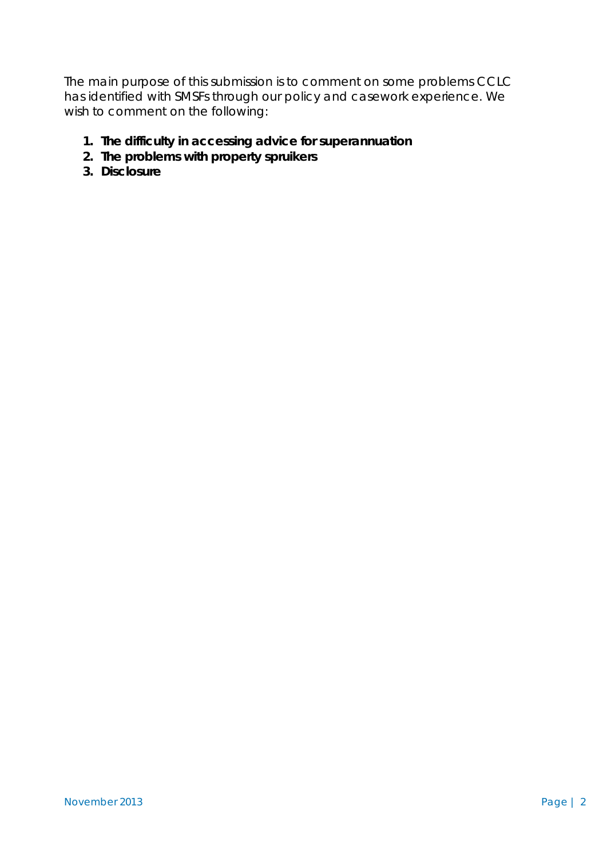The main purpose of this submission is to comment on some problems CCLC has identified with SMSFs through our policy and casework experience. We wish to comment on the following:

- **1. The difficulty in accessing advice for superannuation**
- **2. The problems with property spruikers**
- **3. Disclosure**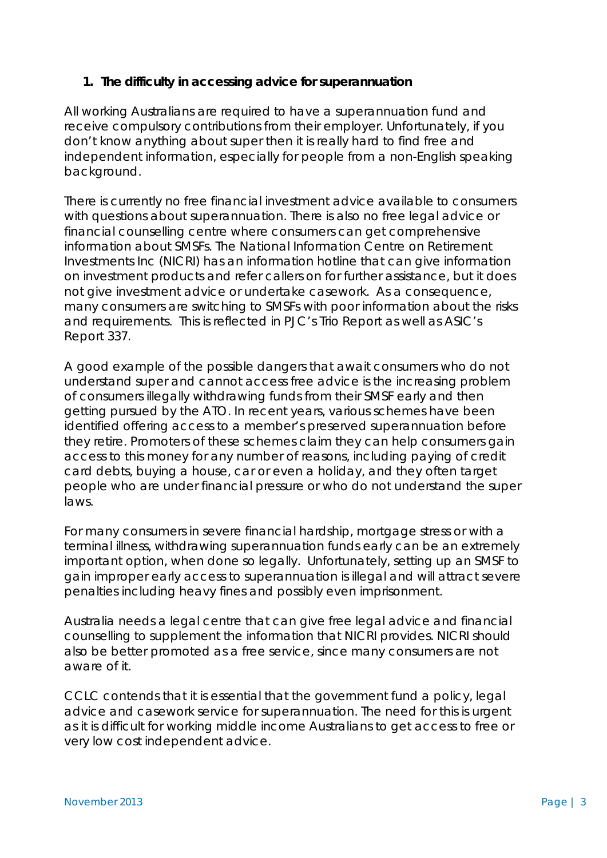#### **1. The difficulty in accessing advice for superannuation**

All working Australians are required to have a superannuation fund and receive compulsory contributions from their employer. Unfortunately, if you don't know anything about super then it is really hard to find free and independent information, especially for people from a non-English speaking background.

There is currently no free financial investment advice available to consumers with questions about superannuation. There is also no free legal advice or financial counselling centre where consumers can get comprehensive information about SMSFs. The National Information Centre on Retirement Investments Inc (NICRI) has an information hotline that can give information on investment products and refer callers on for further assistance, but it does not give investment advice or undertake casework. As a consequence, many consumers are switching to SMSFs with poor information about the risks and requirements. This is reflected in PJC's *Trio Report* as well as ASIC's *Report 337*.

A good example of the possible dangers that await consumers who do not understand super and cannot access free advice is the increasing problem of consumers illegally withdrawing funds from their SMSF early and then getting pursued by the ATO. In recent years, various schemes have been identified offering access to a member's preserved superannuation before they retire. Promoters of these schemes claim they can help consumers gain access to this money for any number of reasons, including paying of credit card debts, buying a house, car or even a holiday, and they often target people who are under financial pressure or who do not understand the super laws.

For many consumers in severe financial hardship, mortgage stress or with a terminal illness, withdrawing superannuation funds early can be an extremely important option, when done so legally. Unfortunately, setting up an SMSF to gain improper early access to superannuation is illegal and will attract severe penalties including heavy fines and possibly even imprisonment.

Australia needs a legal centre that can give free legal advice and financial counselling to supplement the information that NICRI provides. NICRI should also be better promoted as a free service, since many consumers are not aware of it.

CCLC contends that it is essential that the government fund a policy, legal advice and casework service for superannuation. The need for this is urgent as it is difficult for working middle income Australians to get access to free or very low cost independent advice.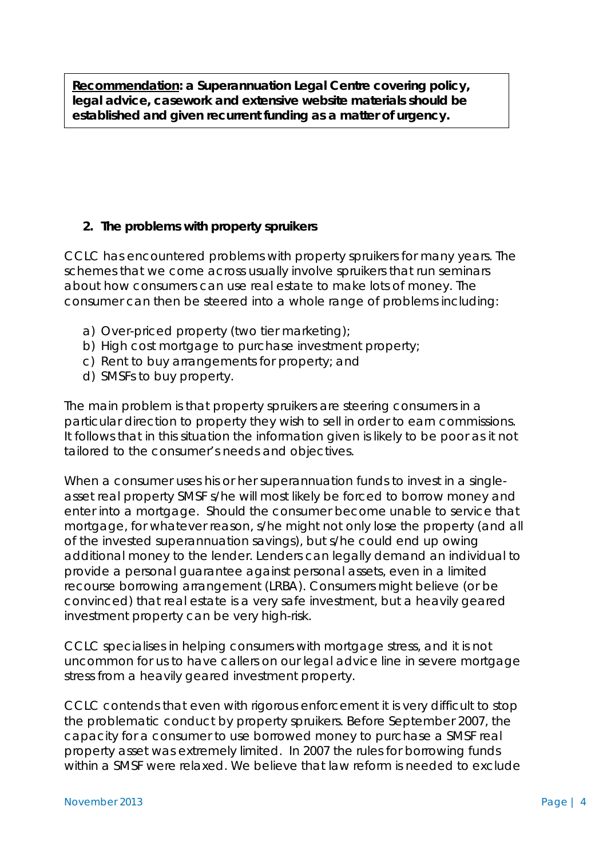**Recommendation: a Superannuation Legal Centre covering policy, legal advice, casework and extensive website materials should be established and given recurrent funding as a matter of urgency.**

#### **2. The problems with property spruikers**

CCLC has encountered problems with property spruikers for many years. The schemes that we come across usually involve spruikers that run seminars about how consumers can use real estate to make lots of money. The consumer can then be steered into a whole range of problems including:

- a) Over-priced property (two tier marketing);
- b) High cost mortgage to purchase investment property;
- c) Rent to buy arrangements for property; and
- d) SMSFs to buy property.

The main problem is that property spruikers are steering consumers in a particular direction to property they wish to sell in order to earn commissions. It follows that in this situation the information given is likely to be poor as it not tailored to the consumer's needs and objectives.

When a consumer uses his or her superannuation funds to invest in a singleasset real property SMSF s/he will most likely be forced to borrow money and enter into a mortgage. Should the consumer become unable to service that mortgage, for whatever reason, s/he might not only lose the property (and all of the invested superannuation savings), but s/he could end up owing additional money to the lender. Lenders can legally demand an individual to provide a personal guarantee against personal assets, even in a limited recourse borrowing arrangement (LRBA). Consumers might believe (or be convinced) that real estate is a very safe investment, but a heavily geared investment property can be very high-risk.

CCLC specialises in helping consumers with mortgage stress, and it is not uncommon for us to have callers on our legal advice line in severe mortgage stress from a heavily geared investment property.

CCLC contends that even with rigorous enforcement it is very difficult to stop the problematic conduct by property spruikers. Before September 2007, the capacity for a consumer to use borrowed money to purchase a SMSF real property asset was extremely limited. In 2007 the rules for borrowing funds within a SMSF were relaxed. We believe that law reform is needed to exclude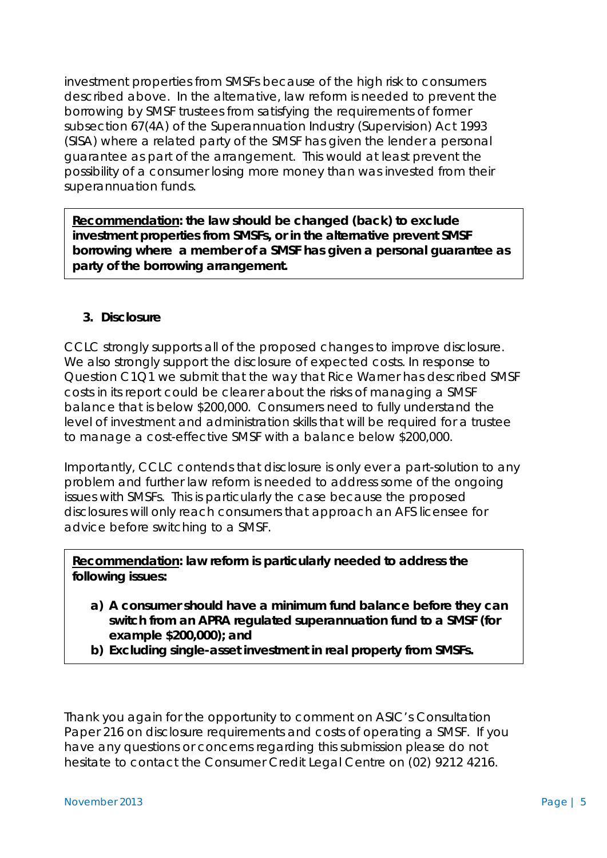investment properties from SMSFs because of the high risk to consumers described above. In the alternative, law reform is needed to prevent the borrowing by SMSF trustees from satisfying the requirements of former subsection 67(4A) of the *Superannuation Industry (Supervision) Act* 1993 (SISA) where a related party of the SMSF has given the lender a personal guarantee as part of the arrangement. This would at least prevent the possibility of a consumer losing *more* money than was invested from their superannuation funds.

**Recommendation: the law should be changed (back) to exclude investment properties from SMSFs, or in the alternative prevent SMSF borrowing where a member of a SMSF has given a personal guarantee as party of the borrowing arrangement.**

#### **3. Disclosure**

CCLC strongly supports all of the proposed changes to improve disclosure. We also strongly support the disclosure of expected costs. In response to Question C1Q1 we submit that the way that Rice Warner has described SMSF costs in its report could be clearer about the risks of managing a SMSF balance that is below \$200,000. Consumers need to fully understand the level of investment and administration skills that will be required for a trustee to manage a cost-effective SMSF with a balance below \$200,000.

Importantly, CCLC contends that disclosure is only ever a part-solution to any problem and further law reform is needed to address some of the ongoing issues with SMSFs. This is particularly the case because the proposed disclosures will only reach consumers that approach an AFS licensee for advice before switching to a SMSF.

**Recommendation: law reform is particularly needed to address the following issues:** 

- **a) A consumer should have a minimum fund balance before they can switch from an APRA regulated superannuation fund to a SMSF (for example \$200,000); and**
- **b) Excluding single-asset investment in real property from SMSFs.**

Thank you again for the opportunity to comment on ASIC's Consultation Paper 216 on disclosure requirements and costs of operating a SMSF. If you have any questions or concerns regarding this submission please do not hesitate to contact the Consumer Credit Legal Centre on (02) 9212 4216.